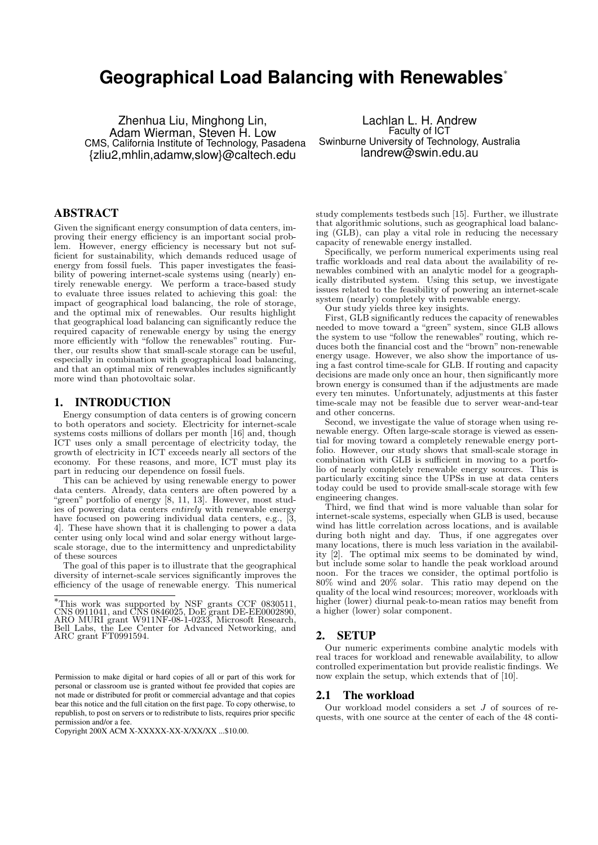# **Geographical Load Balancing with Renewables**<sup>∗</sup>

Zhenhua Liu, Minghong Lin, Adam Wierman, Steven H. Low CMS, California Institute of Technology, Pasadena {zliu2,mhlin,adamw,slow}@caltech.edu

Lachlan L. H. Andrew Faculty of ICT Swinburne University of Technology, Australia landrew@swin.edu.au

# ABSTRACT

Given the significant energy consumption of data centers, improving their energy efficiency is an important social problem. However, energy efficiency is necessary but not sufficient for sustainability, which demands reduced usage of energy from fossil fuels. This paper investigates the feasibility of powering internet-scale systems using (nearly) entirely renewable energy. We perform a trace-based study to evaluate three issues related to achieving this goal: the impact of geographical load balancing, the role of storage, and the optimal mix of renewables. Our results highlight that geographical load balancing can significantly reduce the required capacity of renewable energy by using the energy more efficiently with "follow the renewables" routing. Further, our results show that small-scale storage can be useful, especially in combination with geographical load balancing, and that an optimal mix of renewables includes significantly more wind than photovoltaic solar.

## 1. INTRODUCTION

Energy consumption of data centers is of growing concern to both operators and society. Electricity for internet-scale systems costs millions of dollars per month [16] and, though ICT uses only a small percentage of electricity today, the growth of electricity in ICT exceeds nearly all sectors of the economy. For these reasons, and more, ICT must play its part in reducing our dependence on fossil fuels.

This can be achieved by using renewable energy to power data centers. Already, data centers are often powered by a "green" portfolio of energy [8, 11, 13]. However, most studies of powering data centers entirely with renewable energy have focused on powering individual data centers, e.g.,  $\overline{3}$ , 4]. These have shown that it is challenging to power a data center using only local wind and solar energy without largescale storage, due to the intermittency and unpredictability of these sources

The goal of this paper is to illustrate that the geographical diversity of internet-scale services significantly improves the efficiency of the usage of renewable energy. This numerical

Copyright 200X ACM X-XXXXX-XX-X/XX/XX ...\$10.00.

study complements testbeds such [15]. Further, we illustrate that algorithmic solutions, such as geographical load balancing (GLB), can play a vital role in reducing the necessary capacity of renewable energy installed.

Specifically, we perform numerical experiments using real traffic workloads and real data about the availability of renewables combined with an analytic model for a geographically distributed system. Using this setup, we investigate issues related to the feasibility of powering an internet-scale system (nearly) completely with renewable energy.

Our study yields three key insights.

First, GLB significantly reduces the capacity of renewables needed to move toward a "green" system, since GLB allows the system to use "follow the renewables" routing, which reduces both the financial cost and the "brown" non-renewable energy usage. However, we also show the importance of using a fast control time-scale for GLB. If routing and capacity decisions are made only once an hour, then significantly more brown energy is consumed than if the adjustments are made every ten minutes. Unfortunately, adjustments at this faster time-scale may not be feasible due to server wear-and-tear and other concerns.

Second, we investigate the value of storage when using renewable energy. Often large-scale storage is viewed as essential for moving toward a completely renewable energy portfolio. However, our study shows that small-scale storage in combination with GLB is sufficient in moving to a portfolio of nearly completely renewable energy sources. This is particularly exciting since the UPSs in use at data centers today could be used to provide small-scale storage with few engineering changes.

Third, we find that wind is more valuable than solar for internet-scale systems, especially when GLB is used, because wind has little correlation across locations, and is available during both night and day. Thus, if one aggregates over many locations, there is much less variation in the availability [2]. The optimal mix seems to be dominated by wind, but include some solar to handle the peak workload around noon. For the traces we consider, the optimal portfolio is 80% wind and 20% solar. This ratio may depend on the quality of the local wind resources; moreover, workloads with higher (lower) diurnal peak-to-mean ratios may benefit from a higher (lower) solar component.

## 2. SETUP

Our numeric experiments combine analytic models with real traces for workload and renewable availability, to allow controlled experimentation but provide realistic findings. We now explain the setup, which extends that of [10].

## 2.1 The workload

Our workload model considers a set J of sources of requests, with one source at the center of each of the 48 conti-

<sup>∗</sup>This work was supported by NSF grants CCF 0830511, CNS 0911041, and CNS 0846025, DoE grant DE-EE0002890, ARO MURI grant W911NF-08-1-0233, Microsoft Research, Bell Labs, the Lee Center for Advanced Networking, and ARC grant FT0991594.

Permission to make digital or hard copies of all or part of this work for personal or classroom use is granted without fee provided that copies are not made or distributed for profit or commercial advantage and that copies bear this notice and the full citation on the first page. To copy otherwise, to republish, to post on servers or to redistribute to lists, requires prior specific permission and/or a fee.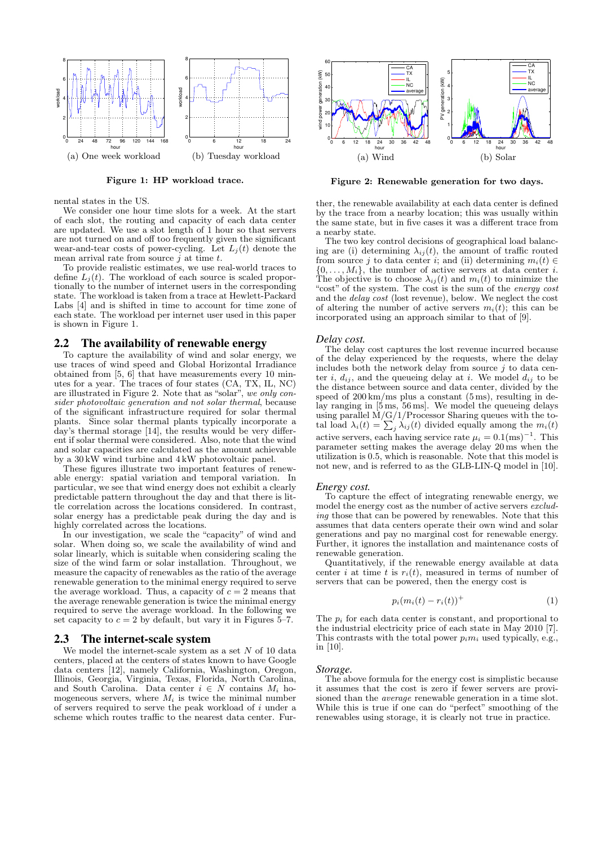

Figure 1: HP workload trace.

nental states in the US.

We consider one hour time slots for a week. At the start of each slot, the routing and capacity of each data center are updated. We use a slot length of 1 hour so that servers are not turned on and off too frequently given the significant wear-and-tear costs of power-cycling. Let  $L_i(t)$  denote the mean arrival rate from source  $j$  at time  $t$ .

To provide realistic estimates, we use real-world traces to define  $L_i(t)$ . The workload of each source is scaled proportionally to the number of internet users in the corresponding state. The workload is taken from a trace at Hewlett-Packard Labs [4] and is shifted in time to account for time zone of each state. The workload per internet user used in this paper is shown in Figure 1.

## 2.2 The availability of renewable energy

To capture the availability of wind and solar energy, we use traces of wind speed and Global Horizontal Irradiance obtained from [5, 6] that have measurements every 10 minutes for a year. The traces of four states (CA, TX, IL, NC) are illustrated in Figure 2. Note that as "solar", we only consider photovoltaic generation and not solar thermal, because of the significant infrastructure required for solar thermal plants. Since solar thermal plants typically incorporate a day's thermal storage [14], the results would be very different if solar thermal were considered. Also, note that the wind and solar capacities are calculated as the amount achievable by a 30 kW wind turbine and 4 kW photovoltaic panel.

These figures illustrate two important features of renewable energy: spatial variation and temporal variation. In particular, we see that wind energy does not exhibit a clearly predictable pattern throughout the day and that there is little correlation across the locations considered. In contrast, solar energy has a predictable peak during the day and is highly correlated across the locations.

In our investigation, we scale the "capacity" of wind and solar. When doing so, we scale the availability of wind and solar linearly, which is suitable when considering scaling the size of the wind farm or solar installation. Throughout, we measure the capacity of renewables as the ratio of the average renewable generation to the minimal energy required to serve the average workload. Thus, a capacity of  $c = 2$  means that the average renewable generation is twice the minimal energy required to serve the average workload. In the following we set capacity to  $c = 2$  by default, but vary it in Figures 5–7.

#### 2.3 The internet-scale system

We model the internet-scale system as a set  $N$  of 10 data centers, placed at the centers of states known to have Google data centers [12], namely California, Washington, Oregon, Illinois, Georgia, Virginia, Texas, Florida, North Carolina, and South Carolina. Data center  $i \in N$  contains  $M_i$  homogeneous servers, where  $M_i$  is twice the minimal number of servers required to serve the peak workload of i under a scheme which routes traffic to the nearest data center. Fur-



Figure 2: Renewable generation for two days.

ther, the renewable availability at each data center is defined by the trace from a nearby location; this was usually within the same state, but in five cases it was a different trace from a nearby state.

The two key control decisions of geographical load balancing are (i) determining  $\lambda_{ij}(t)$ , the amount of traffic routed from source j to data center i; and (ii) determining  $m_i(t) \in$  $\{0, \ldots, M_i\}$ , the number of active servers at data center i. The objective is to choose  $\lambda_{ij}(t)$  and  $m_i(t)$  to minimize the "cost" of the system. The cost is the sum of the energy cost and the delay cost (lost revenue), below. We neglect the cost of altering the number of active servers  $m_i(t)$ ; this can be incorporated using an approach similar to that of [9].

#### *Delay cost.*

The delay cost captures the lost revenue incurred because of the delay experienced by the requests, where the delay includes both the network delay from source  $j$  to data center i,  $d_{ij}$ , and the queueing delay at i. We model  $d_{ij}$  to be the distance between source and data center, divided by the speed of  $200 \text{ km/m}$ s plus a constant (5 ms), resulting in delay ranging in [5 ms, 56 ms]. We model the queueing delays using parallel  $M/G/1/$ Processor Sharing queues with the total load  $\lambda_i(t) = \sum_j \lambda_{ij}(t)$  divided equally among the  $m_i(t)$ active servers, each having service rate  $\mu_i = 0.1 \text{(ms)}^{-1}$ . This parameter setting makes the average delay 20 ms when the utilization is 0.5, which is reasonable. Note that this model is not new, and is referred to as the GLB-LIN-Q model in [10].

#### *Energy cost.*

To capture the effect of integrating renewable energy, we model the energy cost as the number of active servers excluding those that can be powered by renewables. Note that this assumes that data centers operate their own wind and solar generations and pay no marginal cost for renewable energy. Further, it ignores the installation and maintenance costs of renewable generation.

Quantitatively, if the renewable energy available at data center i at time t is  $r_i(t)$ , measured in terms of number of servers that can be powered, then the energy cost is

$$
p_i(m_i(t) - r_i(t))^+ \tag{1}
$$

The  $p_i$  for each data center is constant, and proportional to the industrial electricity price of each state in May 2010 [7]. This contrasts with the total power  $p_i m_i$  used typically, e.g., in [10].

#### *Storage.*

The above formula for the energy cost is simplistic because it assumes that the cost is zero if fewer servers are provisioned than the *average* renewable generation in a time slot. While this is true if one can do "perfect" smoothing of the renewables using storage, it is clearly not true in practice.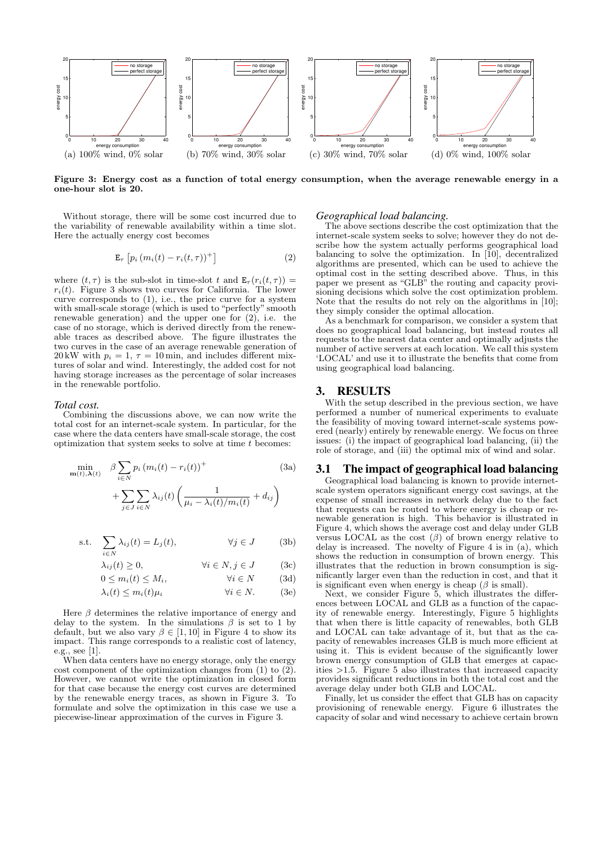

Figure 3: Energy cost as a function of total energy consumption, when the average renewable energy in a one-hour slot is 20.

Without storage, there will be some cost incurred due to the variability of renewable availability within a time slot. Here the actually energy cost becomes

$$
\mathbf{E}_{\tau}\left[p_i\left(m_i(t) - r_i(t,\tau)\right)^+\right] \tag{2}
$$

where  $(t, \tau)$  is the sub-slot in time-slot t and  $\mathbf{E}_{\tau}(r_i(t,\tau)) =$  $r_i(t)$ . Figure 3 shows two curves for California. The lower curve corresponds to (1), i.e., the price curve for a system with small-scale storage (which is used to "perfectly" smooth renewable generation) and the upper one for (2), i.e. the case of no storage, which is derived directly from the renewable traces as described above. The figure illustrates the two curves in the case of an average renewable generation of  $20 \text{ kW}$  with  $p_i = 1, \tau = 10 \text{ min}$ , and includes different mixtures of solar and wind. Interestingly, the added cost for not having storage increases as the percentage of solar increases in the renewable portfolio.

#### *Total cost.*

Combining the discussions above, we can now write the total cost for an internet-scale system. In particular, for the case where the data centers have small-scale storage, the cost optimization that system seeks to solve at time t becomes:

$$
\min_{\mathbf{m}(t),\lambda(t)} \beta \sum_{i \in N} p_i (m_i(t) - r_i(t))^+
$$
\n
$$
+ \sum_{j \in J} \sum_{i \in N} \lambda_{ij}(t) \left( \frac{1}{\mu_i - \lambda_i(t)/m_i(t)} + d_{ij} \right)
$$
\n(3a)

s.t. 
$$
\sum_{i \in N} \lambda_{ij}(t) = L_j(t), \qquad \forall j \in J \qquad (3b)
$$

 $\lambda_{ij}(t) \geq 0, \qquad \forall i \in N, j \in J \qquad (3c)$ 

$$
0 \le m_i(t) \le M_i, \qquad \forall i \in N \qquad (3d)
$$

$$
\lambda_i(t) \le m_i(t)\mu_i \qquad \forall i \in N. \qquad (3e)
$$

Here  $\beta$  determines the relative importance of energy and delay to the system. In the simulations  $\beta$  is set to 1 by default, but we also vary  $\beta \in [1, 10]$  in Figure 4 to show its impact. This range corresponds to a realistic cost of latency, e.g., see [1].

When data centers have no energy storage, only the energy cost component of the optimization changes from (1) to (2). However, we cannot write the optimization in closed form for that case because the energy cost curves are determined by the renewable energy traces, as shown in Figure 3. To formulate and solve the optimization in this case we use a piecewise-linear approximation of the curves in Figure 3.

## *Geographical load balancing.*

The above sections describe the cost optimization that the internet-scale system seeks to solve; however they do not describe how the system actually performs geographical load balancing to solve the optimization. In  $[10]$ , decentralized algorithms are presented, which can be used to achieve the optimal cost in the setting described above. Thus, in this paper we present as "GLB" the routing and capacity provisioning decisions which solve the cost optimization problem. Note that the results do not rely on the algorithms in [10]; they simply consider the optimal allocation.

As a benchmark for comparison, we consider a system that does no geographical load balancing, but instead routes all requests to the nearest data center and optimally adjusts the number of active servers at each location. We call this system 'LOCAL' and use it to illustrate the benefits that come from using geographical load balancing.

## 3. RESULTS

With the setup described in the previous section, we have performed a number of numerical experiments to evaluate the feasibility of moving toward internet-scale systems powered (nearly) entirely by renewable energy. We focus on three issues: (i) the impact of geographical load balancing, (ii) the role of storage, and (iii) the optimal mix of wind and solar.

## 3.1 The impact of geographical load balancing

Geographical load balancing is known to provide internetscale system operators significant energy cost savings, at the expense of small increases in network delay due to the fact that requests can be routed to where energy is cheap or renewable generation is high. This behavior is illustrated in Figure 4, which shows the average cost and delay under GLB versus LOCAL as the cost  $(\beta)$  of brown energy relative to delay is increased. The novelty of Figure 4 is in (a), which shows the reduction in consumption of brown energy. This illustrates that the reduction in brown consumption is significantly larger even than the reduction in cost, and that it is significant even when energy is cheap  $(\beta \text{ is small}).$ 

Next, we consider Figure 5, which illustrates the differences between LOCAL and GLB as a function of the capacity of renewable energy. Interestingly, Figure 5 highlights that when there is little capacity of renewables, both GLB and LOCAL can take advantage of it, but that as the capacity of renewables increases GLB is much more efficient at using it. This is evident because of the significantly lower brown energy consumption of GLB that emerges at capacities >1.5. Figure 5 also illustrates that increased capacity provides significant reductions in both the total cost and the average delay under both GLB and LOCAL.

Finally, let us consider the effect that GLB has on capacity provisioning of renewable energy. Figure 6 illustrates the capacity of solar and wind necessary to achieve certain brown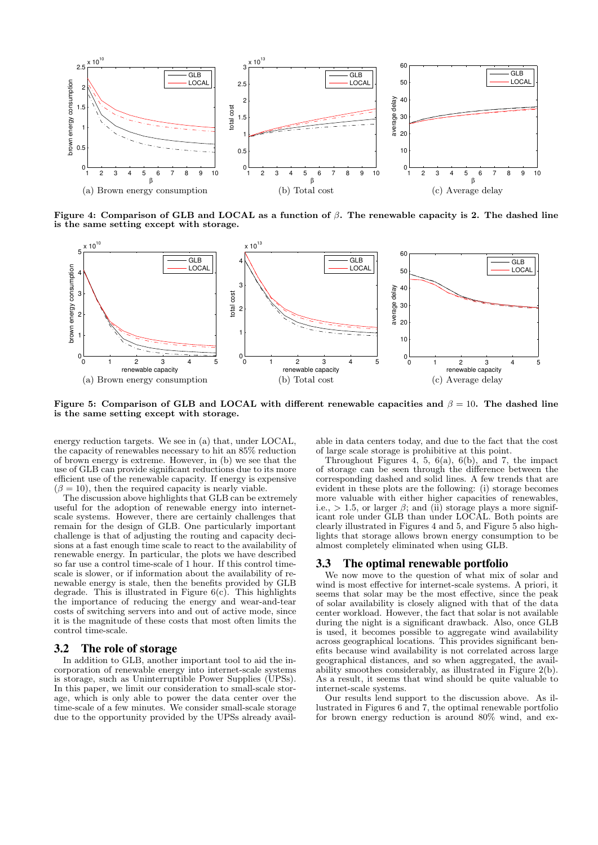

Figure 4: Comparison of GLB and LOCAL as a function of  $\beta$ . The renewable capacity is 2. The dashed line is the same setting except with storage.



Figure 5: Comparison of GLB and LOCAL with different renewable capacities and  $\beta = 10$ . The dashed line is the same setting except with storage.

energy reduction targets. We see in (a) that, under LOCAL, the capacity of renewables necessary to hit an 85% reduction of brown energy is extreme. However, in (b) we see that the use of GLB can provide significant reductions due to its more efficient use of the renewable capacity. If energy is expensive  $(\beta = 10)$ , then the required capacity is nearly viable.

The discussion above highlights that GLB can be extremely useful for the adoption of renewable energy into internetscale systems. However, there are certainly challenges that remain for the design of GLB. One particularly important challenge is that of adjusting the routing and capacity decisions at a fast enough time scale to react to the availability of renewable energy. In particular, the plots we have described so far use a control time-scale of 1 hour. If this control timescale is slower, or if information about the availability of renewable energy is stale, then the benefits provided by GLB degrade. This is illustrated in Figure  $6(c)$ . This highlights the importance of reducing the energy and wear-and-tear costs of switching servers into and out of active mode, since it is the magnitude of these costs that most often limits the control time-scale.

## 3.2 The role of storage

In addition to GLB, another important tool to aid the incorporation of renewable energy into internet-scale systems is storage, such as Uninterruptible Power Supplies (UPSs). In this paper, we limit our consideration to small-scale storage, which is only able to power the data center over the time-scale of a few minutes. We consider small-scale storage due to the opportunity provided by the UPSs already available in data centers today, and due to the fact that the cost of large scale storage is prohibitive at this point.

Throughout Figures 4, 5, 6(a), 6(b), and 7, the impact of storage can be seen through the difference between the corresponding dashed and solid lines. A few trends that are evident in these plots are the following: (i) storage becomes more valuable with either higher capacities of renewables, i.e.,  $> 1.5$ , or larger  $\beta$ ; and (ii) storage plays a more significant role under GLB than under LOCAL. Both points are clearly illustrated in Figures 4 and 5, and Figure 5 also highlights that storage allows brown energy consumption to be almost completely eliminated when using GLB.

## 3.3 The optimal renewable portfolio

We now move to the question of what mix of solar and wind is most effective for internet-scale systems. A priori, it seems that solar may be the most effective, since the peak of solar availability is closely aligned with that of the data center workload. However, the fact that solar is not available during the night is a significant drawback. Also, once GLB is used, it becomes possible to aggregate wind availability across geographical locations. This provides significant benefits because wind availability is not correlated across large geographical distances, and so when aggregated, the availability smoothes considerably, as illustrated in Figure 2(b). As a result, it seems that wind should be quite valuable to internet-scale systems.

Our results lend support to the discussion above. As illustrated in Figures 6 and 7, the optimal renewable portfolio for brown energy reduction is around 80% wind, and ex-